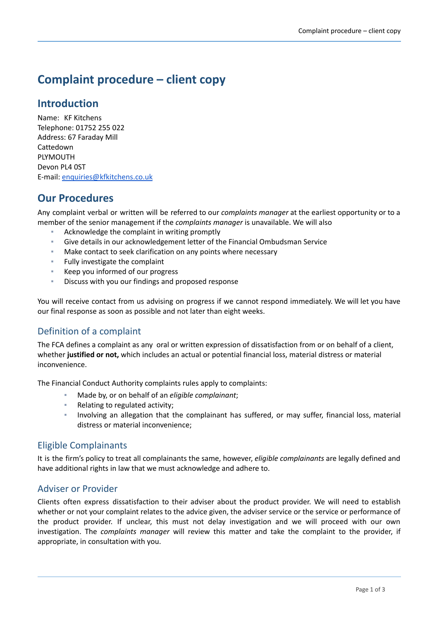# **Complaint procedure – client copy**

# **Introduction**

Name: KF Kitchens Telephone: 01752 255 022 Address: 67 Faraday Mill Cattedown PLYMOUTH Devon PL4 0ST E-mail: [enquiries@kfkitchens.co.uk](mailto:enquiries@kfkitchens.co.uk)

# **Our Procedures**

Any complaint verbal or written will be referred to our *complaints manager* at the earliest opportunity or to a member of the senior management if the *complaints manager* is unavailable. We will also

- Acknowledge the complaint in writing promptly
- Give details in our acknowledgement letter of the Financial Ombudsman Service
- Make contact to seek clarification on any points where necessary
- Fully investigate the complaint
- Keep you informed of our progress
- Discuss with you our findings and proposed response

You will receive contact from us advising on progress if we cannot respond immediately. We will let you have our final response as soon as possible and not later than eight weeks.

### Definition of a complaint

The FCA defines a complaint as any oral or written expression of dissatisfaction from or on behalf of a client, whether **justified or not,** which includes an actual or potential financial loss, material distress or material inconvenience.

The Financial Conduct Authority complaints rules apply to complaints:

- Made by, or on behalf of an *eligible complainant*;
- Relating to regulated activity;
- Involving an allegation that the complainant has suffered, or may suffer, financial loss, material distress or material inconvenience;

### Eligible Complainants

It is the firm's policy to treat all complainants the same, however, *eligible complainants* are legally defined and have additional rights in law that we must acknowledge and adhere to.

#### Adviser or Provider

Clients often express dissatisfaction to their adviser about the product provider. We will need to establish whether or not your complaint relates to the advice given, the adviser service or the service or performance of the product provider. If unclear, this must not delay investigation and we will proceed with our own investigation. The *complaints manager* will review this matter and take the complaint to the provider, if appropriate, in consultation with you.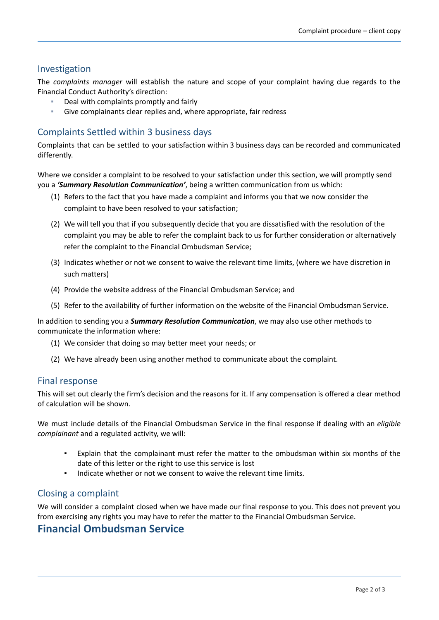#### Investigation

The *complaints manager* will establish the nature and scope of your complaint having due regards to the Financial Conduct Authority's direction:

- Deal with complaints promptly and fairly
- Give complainants clear replies and, where appropriate, fair redress

### Complaints Settled within 3 business days

Complaints that can be settled to your satisfaction within 3 business days can be recorded and communicated differently.

Where we consider a complaint to be resolved to your satisfaction under this section, we will promptly send you a *'Summary Resolution Communication'*, being a written communication from us which:

- (1) Refers to the fact that you have made a complaint and informs you that we now consider the complaint to have been resolved to your satisfaction;
- (2) We will tell you that if you subsequently decide that you are dissatisfied with the resolution of the complaint you may be able to refer the complaint back to us for further consideration or alternatively refer the complaint to the Financial Ombudsman Service;
- (3) Indicates whether or not we consent to waive the relevant time limits, (where we have discretion in such matters)
- (4) Provide the website address of the Financial Ombudsman Service; and
- (5) Refer to the availability of further information on the website of the Financial Ombudsman Service.

In addition to sending you a *Summary Resolution Communication*, we may also use other methods to communicate the information where:

- (1) We consider that doing so may better meet your needs; or
- (2) We have already been using another method to communicate about the complaint.

#### Final response

This will set out clearly the firm's decision and the reasons for it. If any compensation is offered a clear method of calculation will be shown.

We must include details of the Financial Ombudsman Service in the final response if dealing with an *eligible complainant* and a regulated activity, we will:

- Explain that the complainant must refer the matter to the ombudsman within six months of the date of this letter or the right to use this service is lost
- Indicate whether or not we consent to waive the relevant time limits.

### Closing a complaint

We will consider a complaint closed when we have made our final response to you. This does not prevent you from exercising any rights you may have to refer the matter to the Financial Ombudsman Service.

# **Financial Ombudsman Service**